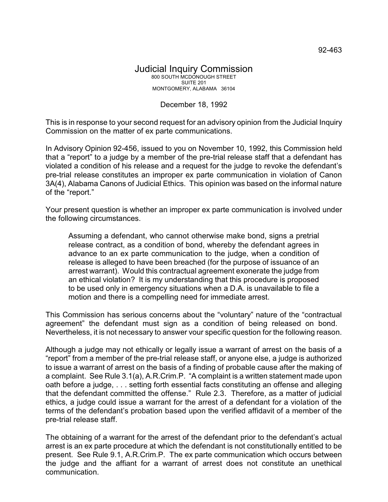## Judicial Inquiry Commission 800 SOUTH MCDONOUGH STREET SUITE 201 MONTGOMERY, ALABAMA 36104

## December 18, 1992

This is in response to your second request for an advisory opinion from the Judicial Inquiry Commission on the matter of ex parte communications.

In Advisory Opinion 92-456, issued to you on November 10, 1992, this Commission held that a "report" to a judge by a member of the pre-trial release staff that a defendant has violated a condition of his release and a request for the judge to revoke the defendant's pre-trial release constitutes an improper ex parte communication in violation of Canon 3A(4), Alabama Canons of Judicial Ethics. This opinion was based on the informal nature of the "report."

Your present question is whether an improper ex parte communication is involved under the following circumstances.

Assuming a defendant, who cannot otherwise make bond, signs a pretrial release contract, as a condition of bond, whereby the defendant agrees in advance to an ex parte communication to the judge, when a condition of release is alleged to have been breached (for the purpose of issuance of an arrest warrant). Would this contractual agreement exonerate the judge from an ethical violation? It is my understanding that this procedure is proposed to be used only in emergency situations when a D.A. is unavailable to file a motion and there is a compelling need for immediate arrest.

This Commission has serious concerns about the "voluntary" nature of the "contractual agreement" the defendant must sign as a condition of being released on bond. Nevertheless, it is not necessary to answer vour specific question for the following reason.

Although a judge may not ethically or legally issue a warrant of arrest on the basis of a "report" from a member of the pre-trial release staff, or anyone else, a judge is authorized to issue a warrant of arrest on the basis of a finding of probable cause after the making of a complaint. See Rule 3.1(a), A.R.Crim.P. "A complaint is a written statement made upon oath before a judge, . . . setting forth essential facts constituting an offense and alleging that the defendant committed the offense." Rule 2.3. Therefore, as a matter of judicial ethics, a judge could issue a warrant for the arrest of a defendant for a violation of the terms of the defendant's probation based upon the verified affidavit of a member of the pre-trial release staff.

The obtaining of a warrant for the arrest of the defendant prior to the defendant's actual arrest is an ex parte procedure at which the defendant is not constitutionally entitled to be present. See Rule 9.1, A.R.Crim.P. The ex parte communication which occurs between the judge and the affiant for a warrant of arrest does not constitute an unethical communication.